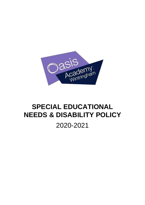

# **SPECIAL EDUCATIONAL NEEDS & DISABILITY POLICY**

2020-2021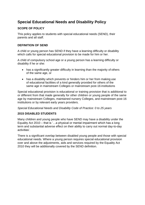# **Special Educational Needs and Disability Policy**

# **SCOPE OF POLICY**

This policy applies to students with special educational needs (SEND), their parents and all staff.

# **DEFINITION OF SEND**

A child or young person has SEND if they have a learning difficulty or disability which calls for special educational provision to be made for him or her.

A child of compulsory school age or a young person has a learning difficulty or disability if he or she:

- has a significantly greater difficulty in learning than the majority of others of the same age, or
- has a disability which prevents or hinders him or her from making use of educational facilities of a kind generally provided for others of the same age in mainstream Colleges or mainstream post-16 institutions

Special educational provision is educational or training provision that is additional to or different from that made generally for other children or young people of the same age by mainstream Colleges, maintained nursery Colleges, and mainstream post-16 institutions or by relevant early years providers.

*Special Educational Needs and Disability Code of Practice: 0 to 25 years*

#### **2015 DISABLED STUDENTS**

Many children and young people who have SEND may have a disability under the Equality Act 2010 – that is '…a physical or mental impairment which has a long term and substantial adverse effect on their ability to carry out normal day-to-day activities'.

There is a significant overlap between disabled young people and those with special educational needs. Where a young person requires special educational provision over and above the adjustments, aids and services required by the Equality Act 2010 they will be additionally covered by the SEND definition.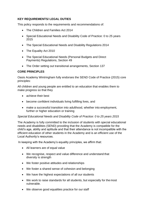# **KEY REQUIREMENTS/ LEGAL DUTIES**

This policy responds to the requirements and recommendations of:

- The Children and Families Act 2014
- Special Educational Needs and Disability Code of Practice: 0 to 25 years 2015
- The Special Educational Needs and Disability Regulations 2014
- The Equality Act 2010
- The Special Educational Needs (Personal Budgets and Direct Payments) Regulations, Section 49
- The Order setting out transitional arrangements, Section 137

#### **CORE PRINCIPLES**

Oasis Academy Wintringham fully endorses the SEND Code of Practice (2015) core principles:

All children and young people are entitled to an education that enables them to make progress so that they

- achieve their best
- become confident individuals living fulfilling lives, and
- make a successful transition into adulthood, whether into employment, further or higher education or training

#### *Special Educational Needs and Disability Code of Practice: 0 to 25 years 2015*

The Academy is fully committed to the inclusion of students with special educational needs and disabilities (SEND) providing that the Academy is compatible for the child's age, ability and aptitude and that their attendance is not incompatible with the efficient education of other students in the Academy and is an efficient use of the Local Authority's resources.

In keeping with the Academy's equality principles, we affirm that:

- All learners are of equal value
- We recognise, respect and value difference and understand that diversity is strength
- We foster positive attitudes and relationships
- We foster a shared sense of cohesion and belonging
- We have the highest expectations of all our students
- We work to raise standards for all students, but especially for the most vulnerable.
- We observe good equalities practice for our staff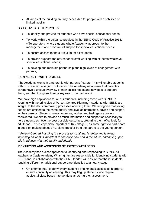• All areas of the building are fully accessible for people with disabilities or limited mobility.

# OBJECTIVES OF THIS POLICY

- To identify and provide for students who have special educational needs;
- To work within the guidance provided in the SEND Code of Practice 2014; • To operate a 'whole student, whole Academy' approach to the management and provision of support for special educational needs;
- To ensure access to the curriculum for all students;
- To provide support and advice for all staff working with students who have special educational needs;
- To develop and maintain partnership and high levels of engagement with parents;

# **PARTNERSHIP WITH FAMILIES**

The Academy works in partnership with parents / carers. This will enable students with SEND to achieve good outcomes. The Academy recognises that parents / carers have a unique overview of their child's needs and how best to support them, and that this gives them a key role in the partnership.

We have high aspirations for all our students, including those with SEND. In keeping with the principles of Person Centred Planning \* students with SEND are integral to the decision-making processes affecting them. We recognise that young people are entitled to the same quality and level of information, advice and support as their parents. Students' views, opinions, wishes and feelings are always considered. We aim to provide as much information and support as necessary to help students achieve the best possible outcomes, preparing them effectively for adulthood. This is especially important at Key Stage 5, as some rights to participate in decision making about EHC plans transfer from the parent to the young person.

\* *Person Centred Planning is a process for continual listening and learning, focussing on what is important to someone now and in the future, and acting upon this in alliance with their family and friends*

# **IDENTIFYING AND ASSESSING STUDENTS WITH SEND**

The Academy has a clear approach to identifying and responding to SEND. All teachers at Oasis Academy Wintringham are responsible for identifying students with SEND and, in collaboration with the SEND leader, will ensure that those students requiring different or additional support are identified at an early stage.

• On entry to the Academy every student's attainment is assessed in order to ensure continuity of learning. This may flag up students who require additional class based interventions and/or further assessment.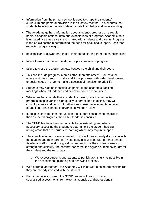- Information from the primary school is used to shape the students' curriculum and pastoral provision in the first few months. This ensures that students have opportunities to demonstrate knowledge and understanding.
- The Academy gathers information about student's progress on a regular basis, alongside national data and expectations of progress. Academic data is updated five times a year and shared with students and parents. Progress is the crucial factor in determining the need for additional support. Less than expected progress might:
- be significantly slower than that of their peers starting from the same baseline
- failure to match or better the student's previous rate of progress
- failure to close the attainment gap between the child and their peers
- This can include progress in areas other than attainment for instance where a student needs to make additional progress with wider development or social needs in order to make a successful transition to adult life.
- Students may also be identified via pastoral and academic tracking meetings where attendance and behaviour data are considered.
- Where teachers decide that a student is making less than expected progress despite verified high quality, differentiated teaching, they will consult parents and carry out further class based assessments. A period of additional class based interventions will then follow.
- If, despite class teacher intervention the student continues to make less than expected progress, the SEND leader is consulted.
- The SEND leader is then responsible for investigating and where necessary assessing the student to determine if the student has SEN, noting areas that are barriers to learning which may require support.
- The identification and assessment of SEND includes an early discussion with the student and their parents. These early discussions with parents enable Academy staff to develop a good understanding of the student's areas of strength and difficulty, the parents' concerns, the agreed outcomes sought for the student and the next steps.
	- o We expect students and parents to participate as fully as possible in the assessment, planning and reviewing process.
- With parental agreement, the Academy will liaise with outside professionals if they are already involved with the student.
- For higher levels of need, the SEND leader will draw on more specialised assessments from external agencies and professionals.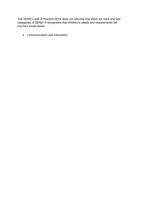The SEND Code of Practice 2015 does not assume that there are hard and fast categories of SEND. It recognises that children's needs and requirements fall into four broad areas:

• Communication and interaction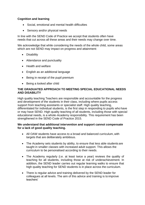# **Cognition and learning**

- Social, emotional and mental health difficulties
- Sensory and/or physical needs

In line with the SEND Code of Practice we accept that students often have needs that cut across all these areas and their needs may change over time.

We acknowledge that while considering the needs of the whole child, some areas which are not SEND may impact on progress and attainment:

- Disability
- Attendance and punctuality
- Health and welfare
- English as an additional language
- Being in receipt of the pupil premium
- Being a looked after child

# **THE GRADUATED APPROACH TO MEETING SPECIAL EDUCATIONAL NEEDS AND DISABILITY**

High quality teaching Teachers are responsible and accountable for the progress and development of the students in their class, including where pupils access support from teaching assistants or specialist staff. High quality teaching, differentiated for individual students, is the first step in responding to pupils who have or may have SEND. High quality teaching of all students, including those with special educational needs, is a whole‐Academy responsibility. This requirement has been strengthened in the SEND Code of Practice 2015.

#### **We understand that additional intervention and support cannot compensate for a lack of good quality teaching.**

- All OAW students have access to a broad and balanced curriculum, with targets that are deliberately ambitious.
- The Academy sets students by ability, to ensure that less able students are taught in smaller classes with increased adult support. This allows the curriculum to be personalised according to their needs.
- The Academy regularly (i.e. at least twice a year) reviews the quality of teaching for all students, including those at risk of underachievement. In addition, the SEND leader carries out regular learning walks to ensure that high quality teaching for SEND students is in place across the curriculum.
- There is regular advice and training delivered by the SEND leader for colleagues at all levels. The aim of this advice and training is to improve teachers'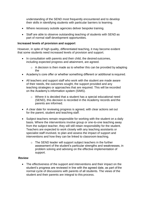understanding of the SEND most frequently encountered and to develop their skills in identifying students with particular barriers to learning.

- Where necessary outside agencies deliver bespoke training.
- Staff are able to observe outstanding teaching of students with SEND as part of normal staff development opportunities.

#### **Increased levels of provision and support**

However, in spite of high quality, differentiated teaching, it may become evident that some students need increased levels of provision and support.

- In consultation with parents and their child, the desired outcomes, including expected progress and attainment, are agreed.
	- $\circ$  A decision is then made as to whether this can be provided by adapting the
- Academy's core offer or whether something different or additional is required.
- All teachers and support staff who work with the student are made aware of their needs, the outcomes sought, the support provided and any teaching strategies or approaches that are required. This will be recorded on the Academy's information system (SIMS).
	- o Where it is decided that a student has a special educational need (SEND), this decision is recorded in the Academy records and the parents are informed.
- A clear date for reviewing progress is agreed, with clear actions set out for the parent, student and teaching staff.
- Subject teachers remain responsible for working with the student on a daily basis. Where the interventions involve group or one-to-one teaching away from the subject teacher, they will still retain responsibility for the student. Teachers are expected to work closely with any teaching assistants or specialist staff involved, to plan and assess the impact of support and interventions and how they can be linked to classroom teaching.
	- o The SEND leader will support subject teachers in the further assessment of the student's particular strengths and weaknesses, in problem solving and advising on the effective implementation of support.

#### **Review**

• The effectiveness of the support and interventions and their impact on the student's progress are reviewed in line with the agreed date, as part of the normal cycle of discussions with parents of all students. The views of the student and their parents are integral to this process.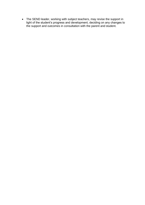• The SEND leader, working with subject teachers, may revise the support in light of the student's progress and development, deciding on any changes to the support and outcomes in consultation with the parent and student.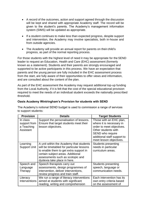- A record of the outcomes, action and support agreed through the discussion will be kept and shared with appropriate Academy staff. The record will be given to the student's parents. The Academy's management information system (SIMS) will be updated as appropriate.
- If a student continues to make less than expected progress, despite support and intervention, the Academy may involve specialists, both in-house and from outside agencies.
- The Academy will provide an annual report for parents on their child's progress, as part of the normal reporting process.

For those students with the highest level of need it may be appropriate for the SEND leader to request an Education, Health and Care (EHC) assessment (formerly known as a statement). Students and their parents are strongly encouraged and supported to be active participants in this process. We have an expectation that parents and the young person are fully included in the EHC assessment process from the start, are fully aware of their opportunities to offer views and information, and are consulted about the content of the plan.

As part of the EHC assessment the Academy may request additional top-up funding from the Local Authority, if it is felt that the cost of the special educational provision required to meet the needs of an individual student exceeds the nationally prescribed threshold.

# **Oasis Academy Wintringham's Provision for students with SEND**

The Academy's notional SEND budget is used to commission a range of services to support students:

| <b>Provision</b>                                    | <b>Details</b>                                                                                                                                                                                                                          | <b>Target Students</b>                                                                                                                                                                |
|-----------------------------------------------------|-----------------------------------------------------------------------------------------------------------------------------------------------------------------------------------------------------------------------------------------|---------------------------------------------------------------------------------------------------------------------------------------------------------------------------------------|
| In class<br>support from<br>a Teaching<br>Assistant | Support the personalisation of lessons.<br>Ensure that target students meet their<br>lesson objectives.                                                                                                                                 | Those with an EHC plan,<br>where it is necessary in<br>order to meet objectives.<br>Other students with<br>SEND who require<br>additional staff support to<br>meet lesson objectives. |
| Learning<br><b>Support Unit</b>                     | A unit within the Academy that students<br>will be timetabled for particular lessons<br>to enable them to get extra support in<br>certain subject areas. Additional<br>assessments such as scotopic and<br>dyslexia take place in here. | <b>Students presenting</b><br>needs in particular<br>curriculum areas.                                                                                                                |
| Speech and<br>Language<br>Therapy                   | Speech therapists carry out<br>assessments, design programmes of<br>intervention, deliver interventions,<br>review progress and train staff.                                                                                            | <b>Students presenting</b><br>speech, language or<br>communication needs.                                                                                                             |
| Literacy<br>Interventions                           | We run a range of literacy interventions<br>aimed at students with significant<br>reading, writing and comprehension                                                                                                                    | Each intervention has its<br>own entry criteria based<br>on the assessment of                                                                                                         |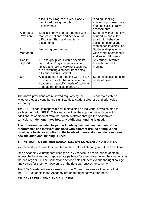|                          | difficulties. Progress is very closely<br>monitored through regular<br>assessments.                                                                                                      | reading, spelling,<br>academic progress data,<br>and specialist literacy<br>assessments.                                              |
|--------------------------|------------------------------------------------------------------------------------------------------------------------------------------------------------------------------------------|---------------------------------------------------------------------------------------------------------------------------------------|
| Alternative<br>Provision | Specialist provision for students with<br>marked emotional and behavioural<br>difficulties. Short and long term<br>placements.                                                           | Students with a high level<br>of need, in particular<br>those with behaviour,<br>social, emotional and<br>mental health difficulties. |
| 1:1<br>Mentoring         | Mentoring programme.                                                                                                                                                                     | Students displaying a<br>wide range of emotional<br>and social difficulties.                                                          |
| <b>SEMH</b><br>Support   | 1:1 and group work with a specialist<br>counsellor. Programmes are time<br>limited and look at varying issues that<br>are preventing a student from being<br>fully successful in school. | Any student referred<br>through the ISRT<br>meeting.                                                                                  |
| EP                       | Assessments and meeting with the EP<br>in order to give further advice to the<br>Academy on specific needs of students<br>or to aid the process of an EHCP.                              | Students displaying high<br>levels of need.                                                                                           |

The above provisions are reviewed regularly by the SEND leader to establish whether they are contributing significantly to student progress and offer value for money.

The SEND leader is responsible for maintaining an individual provision map for each student with SEND. This clearly outlines the support put in place which is additional to or different from that which is offered through the Academy's curriculum. **It demonstrates how any additional funding is used.**

**The provision map also helps the Academy maintain an overview of the programmes and interventions used with different groups of pupils and provides a basis for monitoring the levels of intervention and demonstrates how the additional funding is used.**

# **TRANSITION TO FURTHER EDUCATION, EMPLOYMENT AND TRAINING**

We place students and their families at the centre of planning for future transitions.

Oasis Academy Wintringham uses the YPSS service to enable our students to access the best and most appropriate pathway for themselves when they leave us at the end of year 11. The Connexions service helps students to find the right college and course for them to move on to or the right apprenticeship scheme.

The SEND leader will work closely with the Connexions service to ensure that the SEND students in the Academy are on the right pathway for them.

# **STUDENTS WITH SEND AND BULLYING**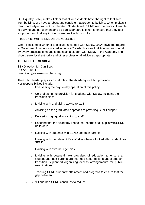Our Equality Policy makes it clear that all our students have the right to feel safe from bullying. We have a robust and consistent approach to bullying, which makes it clear that bullying will not be tolerated. Students with SEND may be more vulnerable to bullying and harassment and so particular care is taken to ensure that they feel supported and that any incidents are dealt with promptly.

# **STUDENTS WITH SEND AND EXCLUSIONS**

When considering whether to exclude a student with SEND, OAW pays due regard to Government guidance issued in June 2012 which states that Academies should try every practicable means to maintain a student with SEND in the Academy and should seek local authority and other professional advice as appropriate.

# **THE ROLE OF SENDCo**

SEND leader; Mr Dan Scott 01472 871811 [Dan.Scott@oasiswintringham.org](mailto:Dan.Scott@oasiswintringham.org)

The SEND leader plays a crucial role in the Academy's SEND provision. Her responsibilities include:

- o Overseeing the day‐to‐day operation of this policy
- Co-ordinating the provision for students with SEND, including the transition class
- o Liaising with and giving advice to staff
- o Advising on the graduated approach to providing SEND support
- $\circ$  Delivering high quality training to staff
- o Ensuring that the Academy keeps the records of all pupils with SEND up to date
- o Liaising with students with SEND and their parents
- o Liaising with the relevant Key Worker where a looked after student has **SEND**
- o Liaising with external agencies
- o Liaising with potential next providers of education to ensure a student and their parents are informed about options and a smooth transition is planned organising access arrangements for public examinations
- o Tracking SEND students' attainment and progress to ensure that the gap between
- SEND and non-SEND continues to reduce.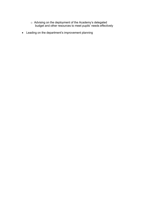- $\circ~$  Advising on the deployment of the Academy's delegated budget and other resources to meet pupils' needs effectively
- Leading on the department's improvement planning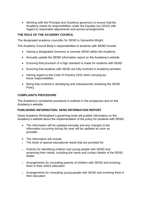• Working with the Principal and Academy governors to ensure that the Academy meets its responsibilities under the Equality Act (2010) with regard to reasonable adjustments and access arrangements

# **THE ROLE OF THE ACADEMY COUNCIL**

The designated academy councillor for SEND is Samantha Wright.

The Academy Council Body's responsibilities to students with SEND include:

- Having a designated Governor to oversee SEND within the Academy
- Annually update the SEND information report on the Academy's website
- Ensuring that provision of a high standard is made for students with SEND
- Ensuring that students with SEND are fully involved in Academy activities
- Having regard to the Code of Practice 2015 when carrying out these responsibilities
- Being fully involved in developing and subsequently reviewing the SEND Policy

#### **COMPLAINTS PROCEDURE**

The Academy's complaints procedure is outlined in the prospectus and on the Academy's website.

# **PUBLISHING INFORMATION: SEND INFORMATION REPORT**

Oasis Academy Wntringham's governing body will publish information on the Academy's website about the implementation of the policy for students with SEND.

- The information will be updated annually and any changes to the information occurring during the year will be updated as soon as possible.
- The information will include
- The kinds of special educational needs that are provided for
- Policies for identifying children and young people with SEND and assessing their needs, including the name and contact details of the SEND leader
- Arrangements for consulting parents of children with SEND and involving them in their child's education
- Arrangements for consulting young people with SEND and involving them in their education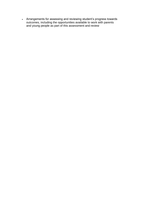• Arrangements for assessing and reviewing student's progress towards outcomes, including the opportunities available to work with parents and young people as part of this assessment and review